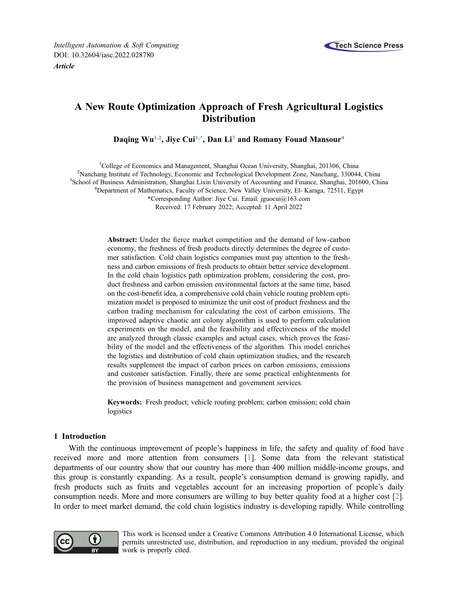



# A New Route Optimization Approach of Fresh Agricultural Logistics **Distribution**

Daqing Wu<sup>[1,](#page-0-0)[2](#page-0-1)</sup>, Jiye Cui<sup>[1](#page-0-0)[,\\*](#page-0-2)</sup>, Dan Li<sup>[3](#page-0-3)</sup> and Romany Fouad Mansour<sup>4</sup>

<span id="page-0-4"></span><span id="page-0-3"></span><span id="page-0-2"></span><span id="page-0-1"></span><span id="page-0-0"></span><sup>1</sup>College of Economics and Management, Shanghai Ocean University, Shanghai, 201306, China <sup>2</sup>Napohang Institute of Technology, Economic and Technological Development Zone, Napohang 33004 <sup>2</sup>Nanchang Institute of Technology, Economic and Technological Development Zone, Nanchang, 330044, China <sup>3</sup>School of Business Administration, Shanghai Lixin University of Accounting and Finance, Shanghai, 201600, China <sup>4</sup>Department of Mathematics, Faculty of Science, New Valley University, El- Karaga, 72511, Egypt \*Corresponding Author: Jiye Cui. Email: [jguocui@163.com](mailto:jguocui@163.com)

Received: 17 February 2022; Accepted: 11 April 2022

Abstract: Under the fierce market competition and the demand of low-carbon economy, the freshness of fresh products directly determines the degree of customer satisfaction. Cold chain logistics companies must pay attention to the freshness and carbon emissions of fresh products to obtain better service development. In the cold chain logistics path optimization problem, considering the cost, product freshness and carbon emission environmental factors at the same time, based on the cost-benefit idea, a comprehensive cold chain vehicle routing problem optimization model is proposed to minimize the unit cost of product freshness and the carbon trading mechanism for calculating the cost of carbon emissions. The improved adaptive chaotic ant colony algorithm is used to perform calculation experiments on the model, and the feasibility and effectiveness of the model are analyzed through classic examples and actual cases, which proves the feasibility of the model and the effectiveness of the algorithm. This model enriches the logistics and distribution of cold chain optimization studies, and the research results supplement the impact of carbon prices on carbon emissions, emissions and customer satisfaction. Finally, there are some practical enlightenments for the provision of business management and government services.

Keywords: Fresh product; vehicle routing problem; carbon emission; cold chain logistics

# 1 Introduction

With the continuous improvement of people's happiness in life, the safety and quality of food have received more and more attention from consumers [[1](#page-15-0)]. Some data from the relevant statistical departments of our country show that our country has more than 400 million middle-income groups, and this group is constantly expanding. As a result, people's consumption demand is growing rapidly, and fresh products such as fruits and vegetables account for an increasing proportion of people's daily consumption needs. More and more consumers are willing to buy better quality food at a higher cost [\[2\]](#page-15-1). In order to meet market demand, the cold chain logistics industry is developing rapidly. While controlling



This work is licensed under a Creative Commons Attribution 4.0 International License, which permits unrestricted use, distribution, and reproduction in any medium, provided the original work is properly cited.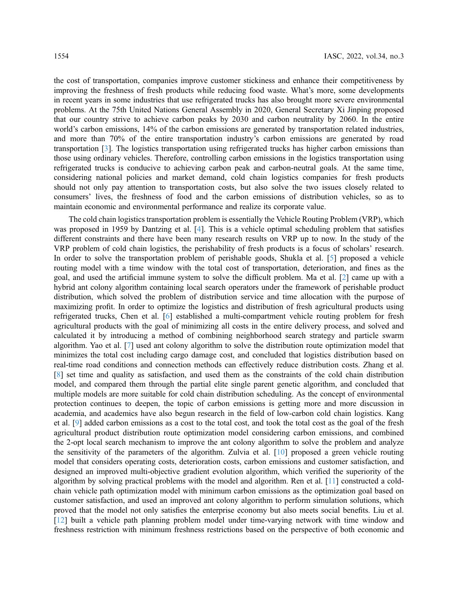the cost of transportation, companies improve customer stickiness and enhance their competitiveness by improving the freshness of fresh products while reducing food waste. What's more, some developments in recent years in some industries that use refrigerated trucks has also brought more severe environmental problems. At the 75th United Nations General Assembly in 2020, General Secretary Xi Jinping proposed that our country strive to achieve carbon peaks by 2030 and carbon neutrality by 2060. In the entire world's carbon emissions, 14% of the carbon emissions are generated by transportation related industries, and more than 70% of the entire transportation industry's carbon emissions are generated by road transportation [\[3\]](#page-15-2). The logistics transportation using refrigerated trucks has higher carbon emissions than those using ordinary vehicles. Therefore, controlling carbon emissions in the logistics transportation using refrigerated trucks is conducive to achieving carbon peak and carbon-neutral goals. At the same time, considering national policies and market demand, cold chain logistics companies for fresh products should not only pay attention to transportation costs, but also solve the two issues closely related to consumers' lives, the freshness of food and the carbon emissions of distribution vehicles, so as to maintain economic and environmental performance and realize its corporate value.

The cold chain logistics transportation problem is essentially the Vehicle Routing Problem (VRP), which was proposed in 1959 by Dantzing et al. [\[4\]](#page-15-3). This is a vehicle optimal scheduling problem that satisfies different constraints and there have been many research results on VRP up to now. In the study of the VRP problem of cold chain logistics, the perishability of fresh products is a focus of scholars' research. In order to solve the transportation problem of perishable goods, Shukla et al. [[5](#page-15-4)] proposed a vehicle routing model with a time window with the total cost of transportation, deterioration, and fines as the goal, and used the artificial immune system to solve the difficult problem. Ma et al. [\[2\]](#page-15-1) came up with a hybrid ant colony algorithm containing local search operators under the framework of perishable product distribution, which solved the problem of distribution service and time allocation with the purpose of maximizing profit. In order to optimize the logistics and distribution of fresh agricultural products using refrigerated trucks, Chen et al. [\[6\]](#page-15-5) established a multi-compartment vehicle routing problem for fresh agricultural products with the goal of minimizing all costs in the entire delivery process, and solved and calculated it by introducing a method of combining neighborhood search strategy and particle swarm algorithm. Yao et al. [[7](#page-15-6)] used ant colony algorithm to solve the distribution route optimization model that minimizes the total cost including cargo damage cost, and concluded that logistics distribution based on real-time road conditions and connection methods can effectively reduce distribution costs. Zhang et al. [[8](#page-15-7)] set time and quality as satisfaction, and used them as the constraints of the cold chain distribution model, and compared them through the partial elite single parent genetic algorithm, and concluded that multiple models are more suitable for cold chain distribution scheduling. As the concept of environmental protection continues to deepen, the topic of carbon emissions is getting more and more discussion in academia, and academics have also begun research in the field of low-carbon cold chain logistics. Kang et al. [[9\]](#page-15-8) added carbon emissions as a cost to the total cost, and took the total cost as the goal of the fresh agricultural product distribution route optimization model considering carbon emissions, and combined the 2-opt local search mechanism to improve the ant colony algorithm to solve the problem and analyze the sensitivity of the parameters of the algorithm. Zulvia et al. [[10\]](#page-15-9) proposed a green vehicle routing model that considers operating costs, deterioration costs, carbon emissions and customer satisfaction, and designed an improved multi-objective gradient evolution algorithm, which verified the superiority of the algorithm by solving practical problems with the model and algorithm. Ren et al. [[11](#page-15-10)] constructed a coldchain vehicle path optimization model with minimum carbon emissions as the optimization goal based on customer satisfaction, and used an improved ant colony algorithm to perform simulation solutions, which proved that the model not only satisfies the enterprise economy but also meets social benefits. Liu et al. [[12](#page-15-11)] built a vehicle path planning problem model under time-varying network with time window and freshness restriction with minimum freshness restrictions based on the perspective of both economic and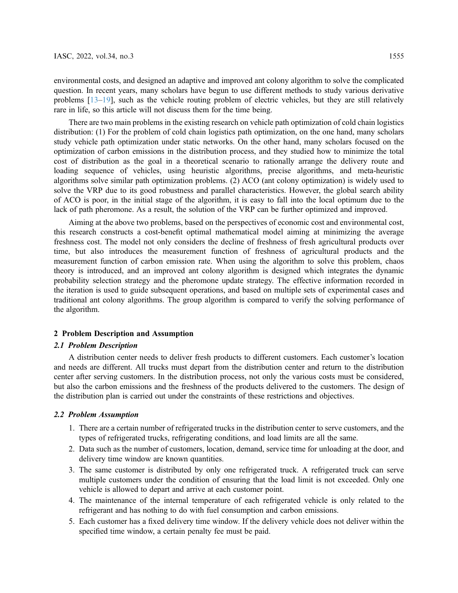environmental costs, and designed an adaptive and improved ant colony algorithm to solve the complicated question. In recent years, many scholars have begun to use different methods to study various derivative problems [\[13](#page-15-12)–[19\]](#page-16-0), such as the vehicle routing problem of electric vehicles, but they are still relatively rare in life, so this article will not discuss them for the time being.

There are two main problems in the existing research on vehicle path optimization of cold chain logistics distribution: (1) For the problem of cold chain logistics path optimization, on the one hand, many scholars study vehicle path optimization under static networks. On the other hand, many scholars focused on the optimization of carbon emissions in the distribution process, and they studied how to minimize the total cost of distribution as the goal in a theoretical scenario to rationally arrange the delivery route and loading sequence of vehicles, using heuristic algorithms, precise algorithms, and meta-heuristic algorithms solve similar path optimization problems. (2) ACO (ant colony optimization) is widely used to solve the VRP due to its good robustness and parallel characteristics. However, the global search ability of ACO is poor, in the initial stage of the algorithm, it is easy to fall into the local optimum due to the lack of path pheromone. As a result, the solution of the VRP can be further optimized and improved.

Aiming at the above two problems, based on the perspectives of economic cost and environmental cost, this research constructs a cost-benefit optimal mathematical model aiming at minimizing the average freshness cost. The model not only considers the decline of freshness of fresh agricultural products over time, but also introduces the measurement function of freshness of agricultural products and the measurement function of carbon emission rate. When using the algorithm to solve this problem, chaos theory is introduced, and an improved ant colony algorithm is designed which integrates the dynamic probability selection strategy and the pheromone update strategy. The effective information recorded in the iteration is used to guide subsequent operations, and based on multiple sets of experimental cases and traditional ant colony algorithms. The group algorithm is compared to verify the solving performance of the algorithm.

# 2 Problem Description and Assumption

# 2.1 Problem Description

A distribution center needs to deliver fresh products to different customers. Each customer's location and needs are different. All trucks must depart from the distribution center and return to the distribution center after serving customers. In the distribution process, not only the various costs must be considered, but also the carbon emissions and the freshness of the products delivered to the customers. The design of the distribution plan is carried out under the constraints of these restrictions and objectives.

### 2.2 Problem Assumption

- 1. There are a certain number of refrigerated trucks in the distribution center to serve customers, and the types of refrigerated trucks, refrigerating conditions, and load limits are all the same.
- 2. Data such as the number of customers, location, demand, service time for unloading at the door, and delivery time window are known quantities.
- 3. The same customer is distributed by only one refrigerated truck. A refrigerated truck can serve multiple customers under the condition of ensuring that the load limit is not exceeded. Only one vehicle is allowed to depart and arrive at each customer point.
- 4. The maintenance of the internal temperature of each refrigerated vehicle is only related to the refrigerant and has nothing to do with fuel consumption and carbon emissions.
- 5. Each customer has a fixed delivery time window. If the delivery vehicle does not deliver within the specified time window, a certain penalty fee must be paid.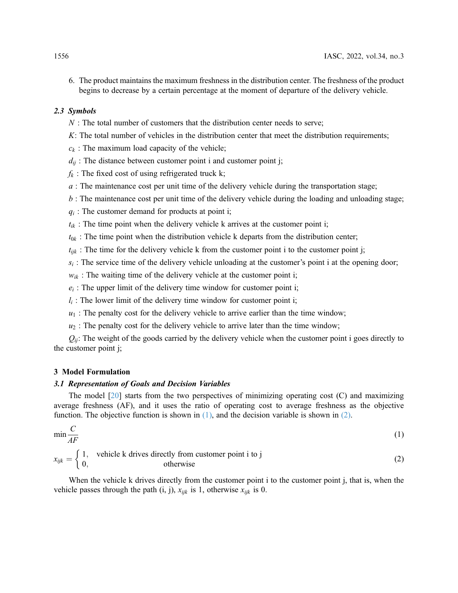6. The product maintains the maximum freshness in the distribution center. The freshness of the product begins to decrease by a certain percentage at the moment of departure of the delivery vehicle.

# 2.3 Symbols

- $N$ : The total number of customers that the distribution center needs to serve;
- $K:$  The total number of vehicles in the distribution center that meet the distribution requirements;
- $c_k$ : The maximum load capacity of the vehicle;
- $d_{ii}$ : The distance between customer point i and customer point j;
- $f_k$ : The fixed cost of using refrigerated truck k;
- $a$ : The maintenance cost per unit time of the delivery vehicle during the transportation stage;
- $b$ : The maintenance cost per unit time of the delivery vehicle during the loading and unloading stage;
- $q_i$ : The customer demand for products at point i;
- $t_{ik}$ : The time point when the delivery vehicle k arrives at the customer point i;
- $t_{0k}$ : The time point when the distribution vehicle k departs from the distribution center;
- $t_{ijk}$ : The time for the delivery vehicle k from the customer point i to the customer point j;
- $s_i$ : The service time of the delivery vehicle unloading at the customer's point i at the opening door;
- $w_{ik}$ : The waiting time of the delivery vehicle at the customer point i;
- $e_i$ : The upper limit of the delivery time window for customer point i;
- $l_i$ : The lower limit of the delivery time window for customer point i;
- $u_1$ : The penalty cost for the delivery vehicle to arrive earlier than the time window;
- $u_2$ : The penalty cost for the delivery vehicle to arrive later than the time window;

 $Q_{ii}$ : The weight of the goods carried by the delivery vehicle when the customer point i goes directly to the customer point j;

### 3 Model Formulation

# 3.1 Representation of Goals and Decision Variables

<span id="page-3-0"></span>The model [\[20](#page-16-1)] starts from the two perspectives of minimizing operating cost (C) and maximizing average freshness (AF), and it uses the ratio of operating cost to average freshness as the objective function. The objective function is shown in  $(1)$ , and the decision variable is shown in  $(2)$ .

<span id="page-3-1"></span>
$$
\min \frac{C}{AF} \tag{1}
$$

$$
x_{ijk} = \begin{cases} 1, & \text{ vehicle k drives directly from customer point i to j} \\ 0, & \text{otherwise} \end{cases}
$$
 (2)

When the vehicle k drives directly from the customer point i to the customer point j, that is, when the vehicle passes through the path (i, j),  $x_{ijk}$  is 1, otherwise  $x_{ijk}$  is 0.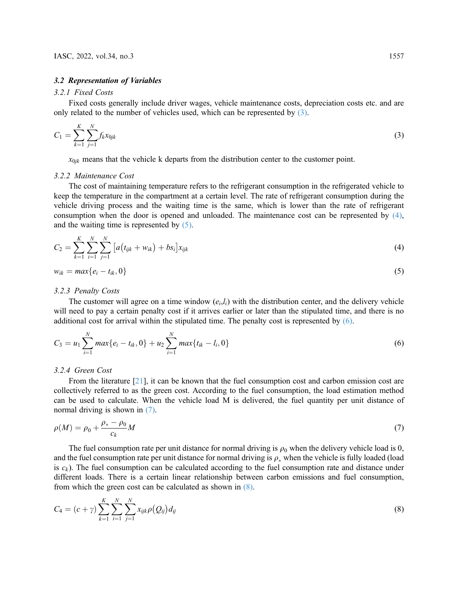#### 3.2 Representation of Variables

#### 3.2.1 Fixed Costs

<span id="page-4-0"></span>Fixed costs generally include driver wages, vehicle maintenance costs, depreciation costs etc. and are only related to the number of vehicles used, which can be represented by [\(3\).](#page-4-0)

$$
C_1 = \sum_{k=1}^{K} \sum_{j=1}^{N} f_k x_{0jk}
$$
\n(3)

 $x_{0jk}$  means that the vehicle k departs from the distribution center to the customer point.

#### 3.2.2 Maintenance Cost

The cost of maintaining temperature refers to the refrigerant consumption in the refrigerated vehicle to keep the temperature in the compartment at a certain level. The rate of refrigerant consumption during the vehicle driving process and the waiting time is the same, which is lower than the rate of refrigerant consumption when the door is opened and unloaded. The maintenance cost can be represented by [\(4\)](#page-4-1), and the waiting time is represented by [\(5\)](#page-4-2).

<span id="page-4-2"></span><span id="page-4-1"></span>
$$
C_2 = \sum_{k=1}^{K} \sum_{i=1}^{N} \sum_{j=1}^{N} \left[ a(t_{ijk} + w_{ik}) + bs_i \right] x_{ijk}
$$
\n(4)

$$
w_{ik} = max\{e_i - t_{ik}, 0\}
$$
\n<sup>(5)</sup>

#### 3.2.3 Penalty Costs

<span id="page-4-3"></span>The customer will agree on a time window  $(e_i, l_i)$  with the distribution center, and the delivery vehicle will need to pay a certain penalty cost if it arrives earlier or later than the stipulated time, and there is no additional cost for arrival within the stipulated time. The penalty cost is represented by [\(6\)](#page-4-3).

$$
C_3 = u_1 \sum_{i=1}^{N} max\{e_i - t_{ik}, 0\} + u_2 \sum_{i=1}^{N} max\{t_{ik} - l_i, 0\}
$$
\n
$$
(6)
$$

# 3.2.4 Green Cost

From the literature [[21\]](#page-16-2), it can be known that the fuel consumption cost and carbon emission cost are collectively referred to as the green cost. According to the fuel consumption, the load estimation method can be used to calculate. When the vehicle load M is delivered, the fuel quantity per unit distance of normal driving is shown in [\(7\)](#page-4-4).

<span id="page-4-4"></span>
$$
\rho(M) = \rho_0 + \frac{\rho_* - \rho_0}{c_k}M\tag{7}
$$

The fuel consumption rate per unit distance for normal driving is  $\rho_0$  when the delivery vehicle load is 0, and the fuel consumption rate per unit distance for normal driving is  $\rho_*$  when the vehicle is fully loaded (load is  $c_k$ ). The fuel consumption can be calculated according to the fuel consumption rate and distance under different loads. There is a certain linear relationship between carbon emissions and fuel consumption, from which the green cost can be calculated as shown in [\(8\)](#page-4-5).

<span id="page-4-5"></span>
$$
C_4 = (c + \gamma) \sum_{k=1}^{K} \sum_{i=1}^{N} \sum_{j=1}^{N} x_{ijk} \rho(Q_{ij}) d_{ij}
$$
\n(8)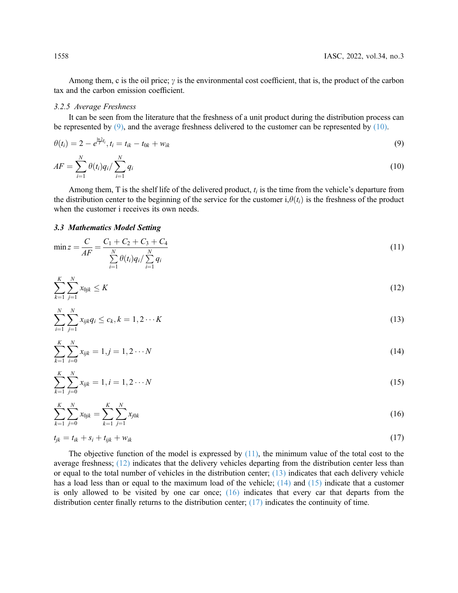Among them, c is the oil price;  $\gamma$  is the environmental cost coefficient, that is, the product of the carbon tax and the carbon emission coefficient.

### 3.2.5 Average Freshness

<span id="page-5-0"></span>It can be seen from the literature that the freshness of a unit product during the distribution process can be represented by  $(9)$ , and the average freshness delivered to the customer can be represented by  $(10)$ .

<span id="page-5-1"></span>
$$
\theta(t_i) = 2 - e^{\frac{\ln 2 t_i}{T}t_i}, t_i = t_{ik} - t_{0k} + w_{ik}
$$
\n(9)

$$
AF = \sum_{i=1}^{N} \theta(t_i) q_i / \sum_{i=1}^{N} q_i
$$
\n(10)

Among them, T is the shelf life of the delivered product,  $t_i$  is the time from the vehicle's departure from the distribution center to the beginning of the service for the customer  $i, \theta(t_i)$  is the freshness of the product when the customer i receives its own needs.

# <span id="page-5-2"></span>3.3 Mathematics Model Setting

$$
\min z = \frac{C}{AF} = \frac{C_1 + C_2 + C_3 + C_4}{\sum_{i=1}^{N} \theta(t_i) q_i / \sum_{i=1}^{N} q_i}
$$
\n(11)

<span id="page-5-4"></span><span id="page-5-3"></span>
$$
\sum_{k=1}^{K} \sum_{j=1}^{N} x_{0jk} \leq K \tag{12}
$$

<span id="page-5-5"></span>
$$
\sum_{i=1}^{N} \sum_{j=1}^{N} x_{ijk} q_i \le c_k, k = 1, 2 \cdots K
$$
\n(13)

<span id="page-5-6"></span>
$$
\sum_{k=1}^{K} \sum_{i=0}^{N} x_{ijk} = 1, j = 1, 2 \cdots N
$$
\n(14)

<span id="page-5-7"></span>
$$
\sum_{k=1}^{K} \sum_{j=0}^{N} x_{ijk} = 1, i = 1, 2 \cdots N
$$
\n(15)

<span id="page-5-8"></span>
$$
\sum_{k=1}^{K} \sum_{j=0}^{N} x_{0jk} = \sum_{k=1}^{K} \sum_{j=1}^{N} x_{j0k}
$$
 (16)

$$
t_{jk}=t_{ik}+s_i+t_{ijk}+w_{ik} \hspace{1cm} (17)
$$

The objective function of the model is expressed by  $(11)$ , the minimum value of the total cost to the average freshness; [\(12\)](#page-5-3) indicates that the delivery vehicles departing from the distribution center less than or equal to the total number of vehicles in the distribution center; [\(13\)](#page-5-4) indicates that each delivery vehicle has a load less than or equal to the maximum load of the vehicle;  $(14)$  and  $(15)$  indicate that a customer is only allowed to be visited by one car once;  $(16)$  indicates that every car that departs from the distribution center finally returns to the distribution center; [\(17\)](#page-5-8) indicates the continuity of time.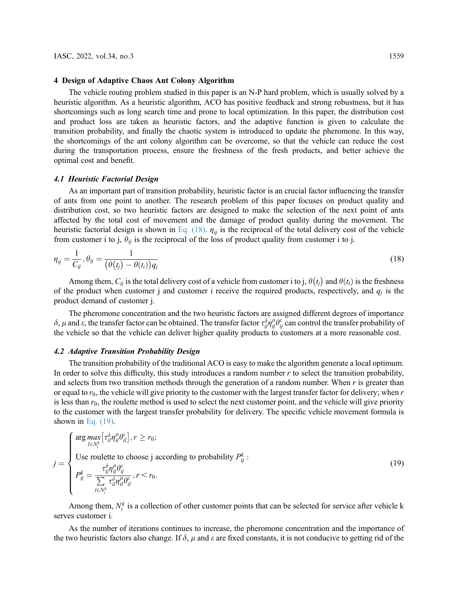#### 4 Design of Adaptive Chaos Ant Colony Algorithm

The vehicle routing problem studied in this paper is an N-P hard problem, which is usually solved by a heuristic algorithm. As a heuristic algorithm, ACO has positive feedback and strong robustness, but it has shortcomings such as long search time and prone to local optimization. In this paper, the distribution cost and product loss are taken as heuristic factors, and the adaptive function is given to calculate the transition probability, and finally the chaotic system is introduced to update the pheromone. In this way, the shortcomings of the ant colony algorithm can be overcome, so that the vehicle can reduce the cost during the transportation process, ensure the freshness of the fresh products, and better achieve the optimal cost and benefit.

#### 4.1 Heuristic Factorial Design

As an important part of transition probability, heuristic factor is an crucial factor influencing the transfer of ants from one point to another. The research problem of this paper focuses on product quality and distribution cost, so two heuristic factors are designed to make the selection of the next point of ants affected by the total cost of movement and the damage of product quality during the movement. The heuristic factorial design is shown in [Eq. \(18\).](#page-6-0)  $\eta_{ii}$  is the reciprocal of the total delivery cost of the vehicle from customer i to j,  $\theta_{ij}$  is the reciprocal of the loss of product quality from customer i to j.

<span id="page-6-0"></span>
$$
\eta_{ij} = \frac{1}{C_{ij}}, \theta_{ij} = \frac{1}{(\theta(t_j) - \theta(t_i))q_j}
$$
\n(18)

Among them,  $C_{ij}$  is the total delivery cost of a vehicle from customer i to j,  $\theta(t_j)$  and  $\theta(t_i)$  is the freshness permoduct when customer i and customer i receive the required products respectively and a is the of the product when customer j and customer i receive the required products, respectively, and  $q_i$  is the product demand of customer j.

The pheromone concentration and the two heuristic factors are assigned different degrees of importance  $\delta$ ,  $\mu$  and  $\epsilon$ , the transfer factor can be obtained. The transfer factor  $\tau_{ij}^{\delta}\eta_{ij}^{\mu}\theta_{ij}^{\epsilon}$  can control the transfer probability of the vehicle so that the vehicle can deliver higher quality products to customers at a more reasonable cost.

#### 4.2 Adaptive Transition Probability Design

The transition probability of the traditional ACO is easy to make the algorithm generate a local optimum. In order to solve this difficulty, this study introduces a random number  $r$  to select the transition probability, and selects from two transition methods through the generation of a random number. When  $r$  is greater than or equal to  $r_0$ , the vehicle will give priority to the customer with the largest transfer factor for delivery; when r is less than  $r_0$ , the roulette method is used to select the next customer point, and the vehicle will give priority to the customer with the largest transfer probability for delivery. The specific vehicle movement formula is shown in Eq.  $(19)$ .

<span id="page-6-1"></span>
$$
j = \begin{cases} \arg \max_{l \in N_i^k} \left[ \tau_{il}^{\delta} \eta_{il}^{\mu} \theta_{il}^{\varepsilon} \right], r \ge r_0; \\ \text{Use roulette to choose } j \text{ according to probability } P_{ij}^k: \\ P_{ij}^k = \frac{\tau_{ij}^{\delta} \eta_{ij}^{\mu} \theta_{ij}^{\varepsilon}}{\sum\limits_{l \in N_i^k} \tau_{il}^{\delta} \eta_{il}^{\mu} \theta_{il}^{\varepsilon}}, r < r_0. \end{cases} \tag{19}
$$

Among them,  $N_i^k$  is a collection of other customer points that can be selected for service after vehicle k serves customer i.

As the number of iterations continues to increase, the pheromone concentration and the importance of the two heuristic factors also change. If  $\delta$ ,  $\mu$  and  $\varepsilon$  are fixed constants, it is not conducive to getting rid of the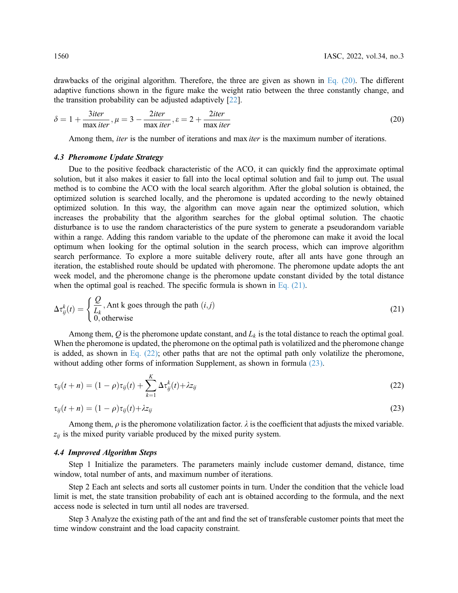<span id="page-7-0"></span>drawbacks of the original algorithm. Therefore, the three are given as shown in Eq.  $(20)$ . The different adaptive functions shown in the figure make the weight ratio between the three constantly change, and the transition probability can be adjusted adaptively [[22\]](#page-16-3).

$$
\delta = 1 + \frac{3iter}{\max iter}, \mu = 3 - \frac{2iter}{\max iter}, \varepsilon = 2 + \frac{2iter}{\max iter}
$$
\n(20)

Among them, *iter* is the number of iterations and max *iter* is the maximum number of iterations.

# 4.3 Pheromone Update Strategy

Due to the positive feedback characteristic of the ACO, it can quickly find the approximate optimal solution, but it also makes it easier to fall into the local optimal solution and fail to jump out. The usual method is to combine the ACO with the local search algorithm. After the global solution is obtained, the optimized solution is searched locally, and the pheromone is updated according to the newly obtained optimized solution. In this way, the algorithm can move again near the optimized solution, which increases the probability that the algorithm searches for the global optimal solution. The chaotic disturbance is to use the random characteristics of the pure system to generate a pseudorandom variable within a range. Adding this random variable to the update of the pheromone can make it avoid the local optimum when looking for the optimal solution in the search process, which can improve algorithm search performance. To explore a more suitable delivery route, after all ants have gone through an iteration, the established route should be updated with pheromone. The pheromone update adopts the ant week model, and the pheromone change is the pheromone update constant divided by the total distance when the optimal goal is reached. The specific formula is shown in Eq.  $(21)$ .

<span id="page-7-1"></span>
$$
\Delta \tau_{ij}^{k}(t) = \begin{cases} \frac{Q}{L_k}, \text{Ant k goes through the path } (i,j) \\ 0, \text{otherwise} \end{cases}
$$
 (21)

Among them, Q is the pheromone update constant, and  $L_k$  is the total distance to reach the optimal goal. When the pheromone is updated, the pheromone on the optimal path is volatilized and the pheromone change is added, as shown in Eq.  $(22)$ ; other paths that are not the optimal path only volatilize the pheromone, without adding other forms of information Supplement, as shown in formula [\(23\)](#page-7-3).

<span id="page-7-3"></span><span id="page-7-2"></span>
$$
\tau_{ij}(t+n) = (1-\rho)\tau_{ij}(t) + \sum_{k=1}^{K} \Delta \tau_{ij}^k(t) + \lambda z_{ij}
$$
\n(22)

$$
\tau_{ij}(t+n) = (1-\rho)\tau_{ij}(t) + \lambda z_{ij}
$$
\n(23)

Among them,  $\rho$  is the pheromone volatilization factor.  $\lambda$  is the coefficient that adjusts the mixed variable.  $z_{ij}$  is the mixed purity variable produced by the mixed purity system.

#### 4.4 Improved Algorithm Steps

Step 1 Initialize the parameters. The parameters mainly include customer demand, distance, time window, total number of ants, and maximum number of iterations.

Step 2 Each ant selects and sorts all customer points in turn. Under the condition that the vehicle load limit is met, the state transition probability of each ant is obtained according to the formula, and the next access node is selected in turn until all nodes are traversed.

Step 3 Analyze the existing path of the ant and find the set of transferable customer points that meet the time window constraint and the load capacity constraint.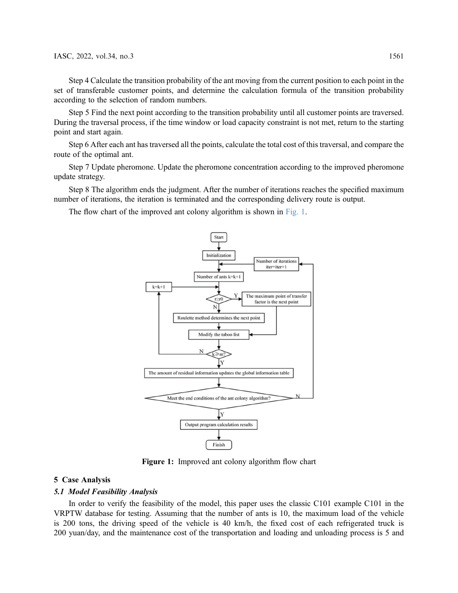Step 4 Calculate the transition probability of the ant moving from the current position to each point in the set of transferable customer points, and determine the calculation formula of the transition probability according to the selection of random numbers.

Step 5 Find the next point according to the transition probability until all customer points are traversed. During the traversal process, if the time window or load capacity constraint is not met, return to the starting point and start again.

Step 6 After each ant has traversed all the points, calculate the total cost of this traversal, and compare the route of the optimal ant.

Step 7 Update pheromone. Update the pheromone concentration according to the improved pheromone update strategy.

Step 8 The algorithm ends the judgment. After the number of iterations reaches the specified maximum number of iterations, the iteration is terminated and the corresponding delivery route is output.

<span id="page-8-0"></span>The flow chart of the improved ant colony algorithm is shown in [Fig. 1](#page-8-0).



Figure 1: Improved ant colony algorithm flow chart

#### 5 Case Analysis

#### 5.1 Model Feasibility Analysis

In order to verify the feasibility of the model, this paper uses the classic C101 example C101 in the VRPTW database for testing. Assuming that the number of ants is 10, the maximum load of the vehicle is 200 tons, the driving speed of the vehicle is 40 km/h, the fixed cost of each refrigerated truck is 200 yuan/day, and the maintenance cost of the transportation and loading and unloading process is 5 and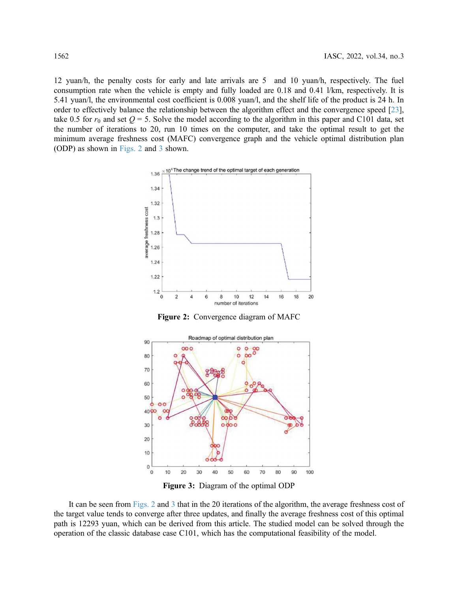<span id="page-9-0"></span>12 yuan/h, the penalty costs for early and late arrivals are 5 and 10 yuan/h, respectively. The fuel consumption rate when the vehicle is empty and fully loaded are 0.18 and 0.41 l/km, respectively. It is 5.41 yuan/l, the environmental cost coefficient is 0.008 yuan/l, and the shelf life of the product is 24 h. In order to effectively balance the relationship between the algorithm effect and the convergence speed [[23\]](#page-16-4), take 0.5 for  $r_0$  and set  $Q = 5$ . Solve the model according to the algorithm in this paper and C101 data, set the number of iterations to 20, run 10 times on the computer, and take the optimal result to get the minimum average freshness cost (MAFC) convergence graph and the vehicle optimal distribution plan (ODP) as shown in [Figs. 2](#page-9-0) and [3](#page-9-1) shown.



Figure 2: Convergence diagram of MAFC

<span id="page-9-1"></span>

Figure 3: Diagram of the optimal ODP

It can be seen from [Figs. 2](#page-9-0) and [3](#page-9-1) that in the 20 iterations of the algorithm, the average freshness cost of the target value tends to converge after three updates, and finally the average freshness cost of this optimal path is 12293 yuan, which can be derived from this article. The studied model can be solved through the operation of the classic database case C101, which has the computational feasibility of the model.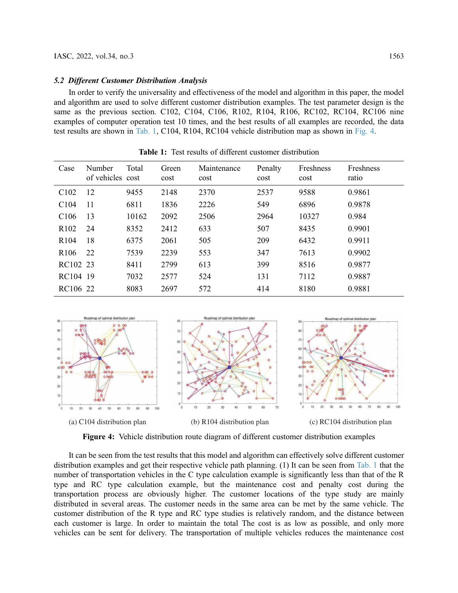#### 5.2 Different Customer Distribution Analysis

In order to verify the universality and effectiveness of the model and algorithm in this paper, the model and algorithm are used to solve different customer distribution examples. The test parameter design is the same as the previous section. C102, C104, C106, R102, R104, R106, RC102, RC104, RC106 nine examples of computer operation test 10 times, and the best results of all examples are recorded, the data test results are shown in [Tab. 1](#page-10-0), C104, R104, RC104 vehicle distribution map as shown in [Fig. 4.](#page-10-1)

<span id="page-10-0"></span>

| Case             | Number<br>of vehicles cost | Total | Green<br>cost | Maintenance<br>cost | Penalty<br>cost | <b>Freshness</b><br>cost | <b>Freshness</b><br>ratio |
|------------------|----------------------------|-------|---------------|---------------------|-----------------|--------------------------|---------------------------|
| C <sub>102</sub> | 12                         | 9455  | 2148          | 2370                | 2537            | 9588                     | 0.9861                    |
| C104             | 11                         | 6811  | 1836          | 2226                | 549             | 6896                     | 0.9878                    |
| C <sub>106</sub> | 13                         | 10162 | 2092          | 2506                | 2964            | 10327                    | 0.984                     |
| R <sub>102</sub> | 24                         | 8352  | 2412          | 633                 | 507             | 8435                     | 0.9901                    |
| R <sub>104</sub> | 18                         | 6375  | 2061          | 505                 | 209             | 6432                     | 0.9911                    |
| R <sub>106</sub> | 22                         | 7539  | 2239          | 553                 | 347             | 7613                     | 0.9902                    |
| RC102 23         |                            | 8411  | 2799          | 613                 | 399             | 8516                     | 0.9877                    |
| RC104 19         |                            | 7032  | 2577          | 524                 | 131             | 7112                     | 0.9887                    |
| RC106 22         |                            | 8083  | 2697          | 572                 | 414             | 8180                     | 0.9881                    |

Table 1: Test results of different customer distribution

<span id="page-10-1"></span>

Figure 4: Vehicle distribution route diagram of different customer distribution examples

It can be seen from the test results that this model and algorithm can effectively solve different customer distribution examples and get their respective vehicle path planning. (1) It can be seen from [Tab. 1](#page-10-0) that the number of transportation vehicles in the C type calculation example is significantly less than that of the R type and RC type calculation example, but the maintenance cost and penalty cost during the transportation process are obviously higher. The customer locations of the type study are mainly distributed in several areas. The customer needs in the same area can be met by the same vehicle. The customer distribution of the R type and RC type studies is relatively random, and the distance between each customer is large. In order to maintain the total The cost is as low as possible, and only more vehicles can be sent for delivery. The transportation of multiple vehicles reduces the maintenance cost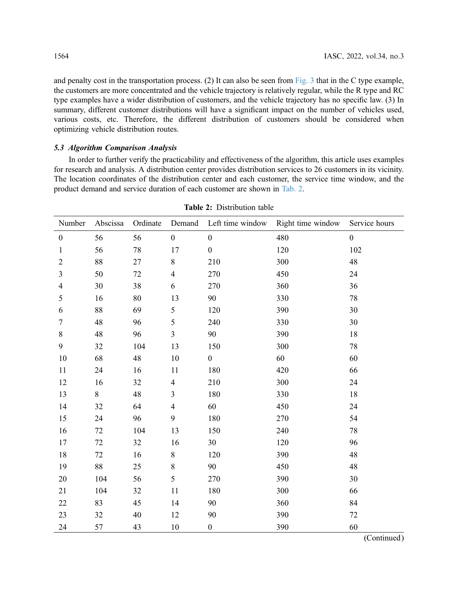and penalty cost in the transportation process. (2) It can also be seen from [Fig. 3](#page-9-1) that in the C type example, the customers are more concentrated and the vehicle trajectory is relatively regular, while the R type and RC type examples have a wider distribution of customers, and the vehicle trajectory has no specific law. (3) In summary, different customer distributions will have a significant impact on the number of vehicles used, various costs, etc. Therefore, the different distribution of customers should be considered when optimizing vehicle distribution routes.

# 5.3 Algorithm Comparison Analysis

In order to further verify the practicability and effectiveness of the algorithm, this article uses examples for research and analysis. A distribution center provides distribution services to 26 customers in its vicinity. The location coordinates of the distribution center and each customer, the service time window, and the product demand and service duration of each customer are shown in [Tab. 2](#page-11-0).

<span id="page-11-0"></span>

| Number           | Abscissa | Ordinate | Demand                  | Left time window | Right time window | Service hours    |
|------------------|----------|----------|-------------------------|------------------|-------------------|------------------|
| $\boldsymbol{0}$ | 56       | 56       | $\mathbf{0}$            | $\boldsymbol{0}$ | 480               | $\boldsymbol{0}$ |
| $\mathbf{1}$     | 56       | 78       | 17                      | $\boldsymbol{0}$ | 120               | 102              |
| $\overline{2}$   | 88       | 27       | 8                       | 210              | 300               | 48               |
| $\mathfrak{Z}$   | 50       | 72       | $\overline{\mathbf{4}}$ | 270              | 450               | 24               |
| $\overline{4}$   | 30       | 38       | 6                       | 270              | 360               | 36               |
| 5                | 16       | 80       | 13                      | 90               | 330               | 78               |
| 6                | 88       | 69       | 5                       | 120              | 390               | 30               |
| $\tau$           | 48       | 96       | 5                       | 240              | 330               | 30               |
| $\,8\,$          | 48       | 96       | $\overline{\mathbf{3}}$ | 90               | 390               | 18               |
| 9                | 32       | 104      | 13                      | 150              | 300               | 78               |
| 10               | 68       | 48       | 10                      | $\boldsymbol{0}$ | 60                | 60               |
| 11               | 24       | 16       | 11                      | 180              | 420               | 66               |
| 12               | 16       | 32       | 4                       | 210              | 300               | 24               |
| 13               | 8        | 48       | 3                       | 180              | 330               | 18               |
| 14               | 32       | 64       | $\overline{\mathbf{4}}$ | 60               | 450               | 24               |
| 15               | 24       | 96       | 9                       | 180              | 270               | 54               |
| 16               | $72\,$   | 104      | 13                      | 150              | 240               | 78               |
| 17               | 72       | 32       | 16                      | 30               | 120               | 96               |
| 18               | $72\,$   | 16       | 8                       | 120              | 390               | 48               |
| 19               | 88       | 25       | 8                       | 90               | 450               | 48               |
| 20               | 104      | 56       | 5                       | 270              | 390               | 30               |
| 21               | 104      | 32       | 11                      | 180              | 300               | 66               |
| 22               | 83       | 45       | 14                      | 90               | 360               | 84               |
| 23               | 32       | 40       | 12                      | 90               | 390               | 72               |
| 24               | 57       | 43       | 10                      | $\boldsymbol{0}$ | 390               | 60               |

Table 2: Distribution table

(Continued)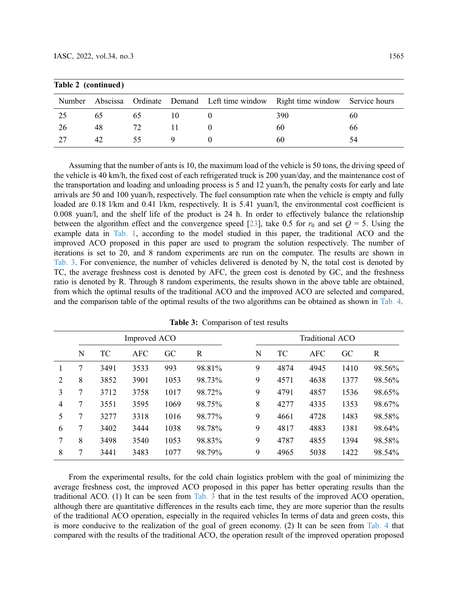| Table 2 (continued) |    |    |  |  |                                                                                  |    |  |  |  |  |
|---------------------|----|----|--|--|----------------------------------------------------------------------------------|----|--|--|--|--|
|                     |    |    |  |  | Number Abscissa Ordinate Demand Left time window Right time window Service hours |    |  |  |  |  |
| 25                  | 65 | 65 |  |  | 390                                                                              | 60 |  |  |  |  |
| 26                  | 48 | 72 |  |  | 60                                                                               | 66 |  |  |  |  |
| 27                  | 42 | 55 |  |  | 60                                                                               | 54 |  |  |  |  |

Assuming that the number of ants is 10, the maximum load of the vehicle is 50 tons, the driving speed of the vehicle is 40 km/h, the fixed cost of each refrigerated truck is 200 yuan/day, and the maintenance cost of the transportation and loading and unloading process is 5 and 12 yuan/h, the penalty costs for early and late arrivals are 50 and 100 yuan/h, respectively. The fuel consumption rate when the vehicle is empty and fully loaded are 0.18 l/km and 0.41 l/km, respectively. It is 5.41 yuan/l, the environmental cost coefficient is 0.008 yuan/l, and the shelf life of the product is 24 h. In order to effectively balance the relationship between the algorithm effect and the convergence speed [[23\]](#page-16-4), take 0.5 for  $r_0$  and set  $Q = 5$ . Using the example data in [Tab. 1,](#page-10-0) according to the model studied in this paper, the traditional ACO and the improved ACO proposed in this paper are used to program the solution respectively. The number of iterations is set to 20, and 8 random experiments are run on the computer. The results are shown in [Tab. 3](#page-12-0). For convenience, the number of vehicles delivered is denoted by N, the total cost is denoted by TC, the average freshness cost is denoted by AFC, the green cost is denoted by GC, and the freshness ratio is denoted by R. Through 8 random experiments, the results shown in the above table are obtained, from which the optimal results of the traditional ACO and the improved ACO are selected and compared, and the comparison table of the optimal results of the two algorithms can be obtained as shown in [Tab. 4](#page-13-0).

<span id="page-12-0"></span>

|                | Improved ACO |      |            |      |        |  | <b>Traditional ACO</b> |      |            |      |        |
|----------------|--------------|------|------------|------|--------|--|------------------------|------|------------|------|--------|
|                | N            | TC   | <b>AFC</b> | GC   | R      |  | N                      | TС   | <b>AFC</b> | GC   | R      |
|                | 7            | 3491 | 3533       | 993  | 98.81% |  | 9                      | 4874 | 4945       | 1410 | 98.56% |
| 2              | 8            | 3852 | 3901       | 1053 | 98.73% |  | 9                      | 4571 | 4638       | 1377 | 98.56% |
| 3              | 7            | 3712 | 3758       | 1017 | 98.72% |  | 9                      | 4791 | 4857       | 1536 | 98.65% |
| $\overline{4}$ | 7            | 3551 | 3595       | 1069 | 98.75% |  | 8                      | 4277 | 4335       | 1353 | 98.67% |
| 5              | 7            | 3277 | 3318       | 1016 | 98.77% |  | 9                      | 4661 | 4728       | 1483 | 98.58% |
| 6              | 7            | 3402 | 3444       | 1038 | 98.78% |  | 9                      | 4817 | 4883       | 1381 | 98.64% |
| 7              | 8            | 3498 | 3540       | 1053 | 98.83% |  | 9                      | 4787 | 4855       | 1394 | 98.58% |
| 8              | 7            | 3441 | 3483       | 1077 | 98.79% |  | 9                      | 4965 | 5038       | 1422 | 98.54% |

Table 3: Comparison of test results

From the experimental results, for the cold chain logistics problem with the goal of minimizing the average freshness cost, the improved ACO proposed in this paper has better operating results than the traditional ACO. (1) It can be seen from [Tab. 3](#page-12-0) that in the test results of the improved ACO operation, although there are quantitative differences in the results each time, they are more superior than the results of the traditional ACO operation, especially in the required vehicles In terms of data and green costs, this is more conducive to the realization of the goal of green economy. (2) It can be seen from [Tab. 4](#page-13-0) that compared with the results of the traditional ACO, the operation result of the improved operation proposed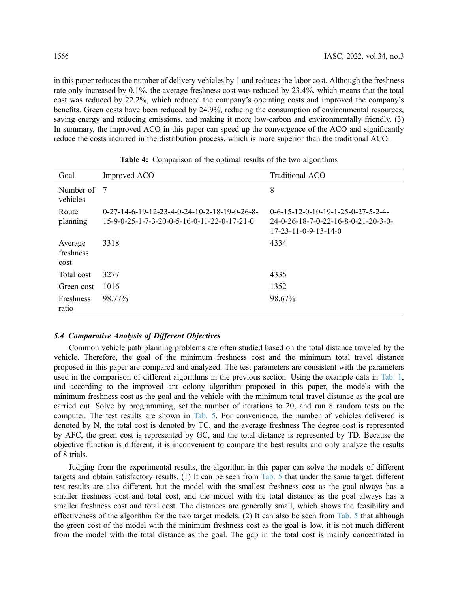in this paper reduces the number of delivery vehicles by 1 and reduces the labor cost. Although the freshness rate only increased by 0.1%, the average freshness cost was reduced by 23.4%, which means that the total cost was reduced by 22.2%, which reduced the company's operating costs and improved the company's benefits. Green costs have been reduced by 24.9%, reducing the consumption of environmental resources, saving energy and reducing emissions, and making it more low-carbon and environmentally friendly. (3) In summary, the improved ACO in this paper can speed up the convergence of the ACO and significantly reduce the costs incurred in the distribution process, which is more superior than the traditional ACO.

<span id="page-13-0"></span>

| Goal                         | Improved ACO                                                                                    | Traditional ACO                                                                                                       |
|------------------------------|-------------------------------------------------------------------------------------------------|-----------------------------------------------------------------------------------------------------------------------|
| Number of<br>vehicles        | - 7                                                                                             | 8                                                                                                                     |
| Route<br>planning            | $0-27-14-6-19-12-23-4-0-24-10-2-18-19-0-26-8-$<br>$15-9-0-25-1-7-3-20-0-5-16-0-11-22-0-17-21-0$ | $0-6-15-12-0-10-19-1-25-0-27-5-2-4-$<br>$24-0-26-18-7-0-22-16-8-0-21-20-3-0-$<br>$17 - 23 - 11 - 0 - 9 - 13 - 14 - 0$ |
| Average<br>freshness<br>cost | 3318                                                                                            | 4334                                                                                                                  |
| Total cost                   | 3277                                                                                            | 4335                                                                                                                  |
| Green cost                   | 1016                                                                                            | 1352                                                                                                                  |
| <b>Freshness</b><br>ratio    | 98.77%                                                                                          | 98.67%                                                                                                                |

Table 4: Comparison of the optimal results of the two algorithms

#### 5.4 Comparative Analysis of Different Objectives

Common vehicle path planning problems are often studied based on the total distance traveled by the vehicle. Therefore, the goal of the minimum freshness cost and the minimum total travel distance proposed in this paper are compared and analyzed. The test parameters are consistent with the parameters used in the comparison of different algorithms in the previous section. Using the example data in [Tab. 1](#page-10-0), and according to the improved ant colony algorithm proposed in this paper, the models with the minimum freshness cost as the goal and the vehicle with the minimum total travel distance as the goal are carried out. Solve by programming, set the number of iterations to 20, and run 8 random tests on the computer. The test results are shown in [Tab. 5](#page-14-0). For convenience, the number of vehicles delivered is denoted by N, the total cost is denoted by TC, and the average freshness The degree cost is represented by AFC, the green cost is represented by GC, and the total distance is represented by TD. Because the objective function is different, it is inconvenient to compare the best results and only analyze the results of 8 trials.

Judging from the experimental results, the algorithm in this paper can solve the models of different targets and obtain satisfactory results. (1) It can be seen from [Tab. 5](#page-14-0) that under the same target, different test results are also different, but the model with the smallest freshness cost as the goal always has a smaller freshness cost and total cost, and the model with the total distance as the goal always has a smaller freshness cost and total cost. The distances are generally small, which shows the feasibility and effectiveness of the algorithm for the two target models. (2) It can also be seen from [Tab. 5](#page-14-0) that although the green cost of the model with the minimum freshness cost as the goal is low, it is not much different from the model with the total distance as the goal. The gap in the total cost is mainly concentrated in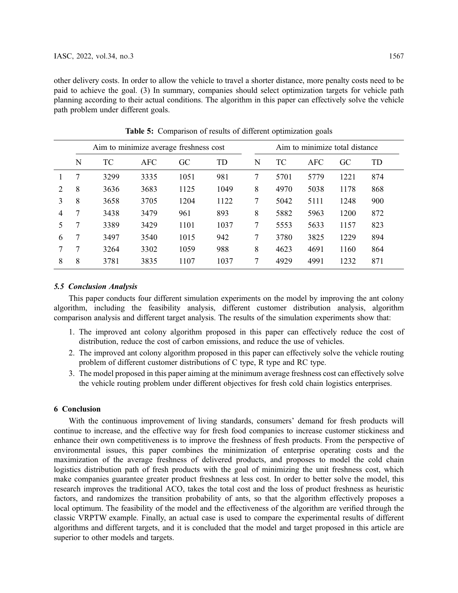other delivery costs. In order to allow the vehicle to travel a shorter distance, more penalty costs need to be paid to achieve the goal. (3) In summary, companies should select optimization targets for vehicle path planning according to their actual conditions. The algorithm in this paper can effectively solve the vehicle path problem under different goals.

<span id="page-14-0"></span>

|                | Aim to minimize average freshness cost |           |            |      |      |   | Aim to minimize total distance |            |      |     |
|----------------|----------------------------------------|-----------|------------|------|------|---|--------------------------------|------------|------|-----|
|                | N                                      | <b>TC</b> | <b>AFC</b> | GC   | TD   | N | ТC                             | <b>AFC</b> | GC   | TD  |
|                | 7                                      | 3299      | 3335       | 1051 | 981  | 7 | 5701                           | 5779       | 1221 | 874 |
| $\mathfrak{D}$ | 8                                      | 3636      | 3683       | 1125 | 1049 | 8 | 4970                           | 5038       | 1178 | 868 |
| 3              | 8                                      | 3658      | 3705       | 1204 | 1122 | 7 | 5042                           | 5111       | 1248 | 900 |
| 4              | 7                                      | 3438      | 3479       | 961  | 893  | 8 | 5882                           | 5963       | 1200 | 872 |
| 5              | 7                                      | 3389      | 3429       | 1101 | 1037 | 7 | 5553                           | 5633       | 1157 | 823 |
| 6              | 7                                      | 3497      | 3540       | 1015 | 942  | 7 | 3780                           | 3825       | 1229 | 894 |
|                | 7                                      | 3264      | 3302       | 1059 | 988  | 8 | 4623                           | 4691       | 1160 | 864 |
| 8              | 8                                      | 3781      | 3835       | 1107 | 1037 | 7 | 4929                           | 4991       | 1232 | 871 |

Table 5: Comparison of results of different optimization goals

#### 5.5 Conclusion Analysis

This paper conducts four different simulation experiments on the model by improving the ant colony algorithm, including the feasibility analysis, different customer distribution analysis, algorithm comparison analysis and different target analysis. The results of the simulation experiments show that:

- 1. The improved ant colony algorithm proposed in this paper can effectively reduce the cost of distribution, reduce the cost of carbon emissions, and reduce the use of vehicles.
- 2. The improved ant colony algorithm proposed in this paper can effectively solve the vehicle routing problem of different customer distributions of C type, R type and RC type.
- 3. The model proposed in this paper aiming at the minimum average freshness cost can effectively solve the vehicle routing problem under different objectives for fresh cold chain logistics enterprises.

### 6 Conclusion

With the continuous improvement of living standards, consumers' demand for fresh products will continue to increase, and the effective way for fresh food companies to increase customer stickiness and enhance their own competitiveness is to improve the freshness of fresh products. From the perspective of environmental issues, this paper combines the minimization of enterprise operating costs and the maximization of the average freshness of delivered products, and proposes to model the cold chain logistics distribution path of fresh products with the goal of minimizing the unit freshness cost, which make companies guarantee greater product freshness at less cost. In order to better solve the model, this research improves the traditional ACO, takes the total cost and the loss of product freshness as heuristic factors, and randomizes the transition probability of ants, so that the algorithm effectively proposes a local optimum. The feasibility of the model and the effectiveness of the algorithm are verified through the classic VRPTW example. Finally, an actual case is used to compare the experimental results of different algorithms and different targets, and it is concluded that the model and target proposed in this article are superior to other models and targets.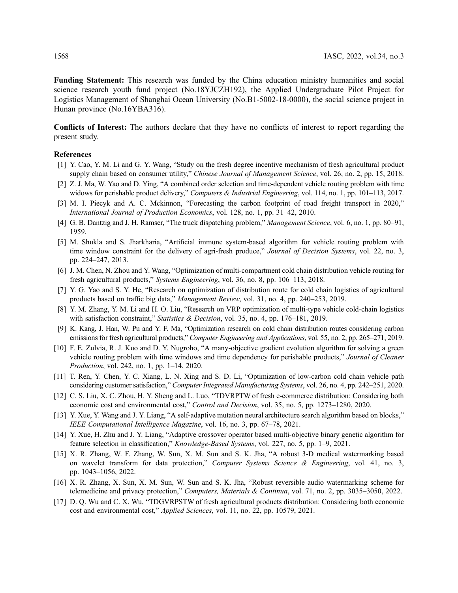Funding Statement: This research was funded by the China education ministry humanities and social science research youth fund project (No.18YJCZH192), the Applied Undergraduate Pilot Project for Logistics Management of Shanghai Ocean University (No.B1-5002-18-0000), the social science project in Hunan province (No.16YBA316).

Conflicts of Interest: The authors declare that they have no conflicts of interest to report regarding the present study.

#### References

- <span id="page-15-0"></span>[1] Y. Cao, Y. M. Li and G. Y. Wang, "Study on the fresh degree incentive mechanism of fresh agricultural product supply chain based on consumer utility," *Chinese Journal of Management Science*, vol. 26, no. 2, pp. 15, 2018.
- <span id="page-15-1"></span>[2] Z. J. Ma, W. Yao and D. Ying, "A combined order selection and time-dependent vehicle routing problem with time widows for perishable product delivery," Computers & Industrial Engineering, vol. 114, no. 1, pp. 101–113, 2017.
- <span id="page-15-2"></span>[3] M. I. Piecyk and A. C. Mckinnon, "Forecasting the carbon footprint of road freight transport in 2020," International Journal of Production Economics, vol. 128, no. 1, pp. 31–42, 2010.
- <span id="page-15-3"></span>[4] G. B. Dantzig and J. H. Ramser, "The truck dispatching problem," Management Science, vol. 6, no. 1, pp. 80–91, 1959.
- <span id="page-15-4"></span>[5] M. Shukla and S. Jharkharia, "Artificial immune system-based algorithm for vehicle routing problem with time window constraint for the delivery of agri-fresh produce," Journal of Decision Systems, vol. 22, no. 3, pp. 224–247, 2013.
- <span id="page-15-5"></span>[6] J. M. Chen, N. Zhou and Y. Wang, "Optimization of multi-compartment cold chain distribution vehicle routing for fresh agricultural products," Systems Engineering, vol. 36, no. 8, pp. 106–113, 2018.
- <span id="page-15-6"></span>[7] Y. G. Yao and S. Y. He, "Research on optimization of distribution route for cold chain logistics of agricultural products based on traffic big data," Management Review, vol. 31, no. 4, pp. 240–253, 2019.
- <span id="page-15-7"></span>[8] Y. M. Zhang, Y. M. Li and H. O. Liu, "Research on VRP optimization of multi-type vehicle cold-chain logistics with satisfaction constraint," Statistics & Decision, vol. 35, no. 4, pp. 176-181, 2019.
- <span id="page-15-8"></span>[9] K. Kang, J. Han, W. Pu and Y. F. Ma, "Optimization research on cold chain distribution routes considering carbon emissions for fresh agricultural products," Computer Engineering and Applications, vol. 55, no. 2, pp. 265–271, 2019.
- <span id="page-15-9"></span>[10] F. E. Zulvia, R. J. Kuo and D. Y. Nugroho, "A many-objective gradient evolution algorithm for solving a green vehicle routing problem with time windows and time dependency for perishable products," Journal of Cleaner Production, vol. 242, no. 1, pp. 1–14, 2020.
- <span id="page-15-10"></span>[11] T. Ren, Y. Chen, Y. C. Xiang, L. N. Xing and S. D. Li, "Optimization of low-carbon cold chain vehicle path considering customer satisfaction," Computer Integrated Manufacturing Systems, vol. 26, no. 4, pp. 242–251, 2020.
- <span id="page-15-11"></span>[12] C. S. Liu, X. C. Zhou, H. Y. Sheng and L. Luo, "TDVRPTW of fresh e-commerce distribution: Considering both economic cost and environmental cost," Control and Decision, vol. 35, no. 5, pp. 1273–1280, 2020.
- <span id="page-15-12"></span>[13] Y. Xue, Y. Wang and J. Y. Liang, "A self-adaptive mutation neural architecture search algorithm based on blocks," IEEE Computational Intelligence Magazine, vol. 16, no. 3, pp. 67–78, 2021.
- [14] Y. Xue, H. Zhu and J. Y. Liang, "Adaptive crossover operator based multi-objective binary genetic algorithm for feature selection in classification," Knowledge-Based Systems, vol. 227, no. 5, pp. 1–9, 2021.
- [15] X. R. Zhang, W. F. Zhang, W. Sun, X. M. Sun and S. K. Jha, "A robust 3-D medical watermarking based on wavelet transform for data protection," Computer Systems Science & Engineering, vol. 41, no. 3, pp. 1043–1056, 2022.
- [16] X. R. Zhang, X. Sun, X. M. Sun, W. Sun and S. K. Jha, "Robust reversible audio watermarking scheme for telemedicine and privacy protection," Computers, Materials & Continua, vol. 71, no. 2, pp. 3035–3050, 2022.
- [17] D. Q. Wu and C. X. Wu, "TDGVRPSTW of fresh agricultural products distribution: Considering both economic cost and environmental cost," Applied Sciences, vol. 11, no. 22, pp. 10579, 2021.